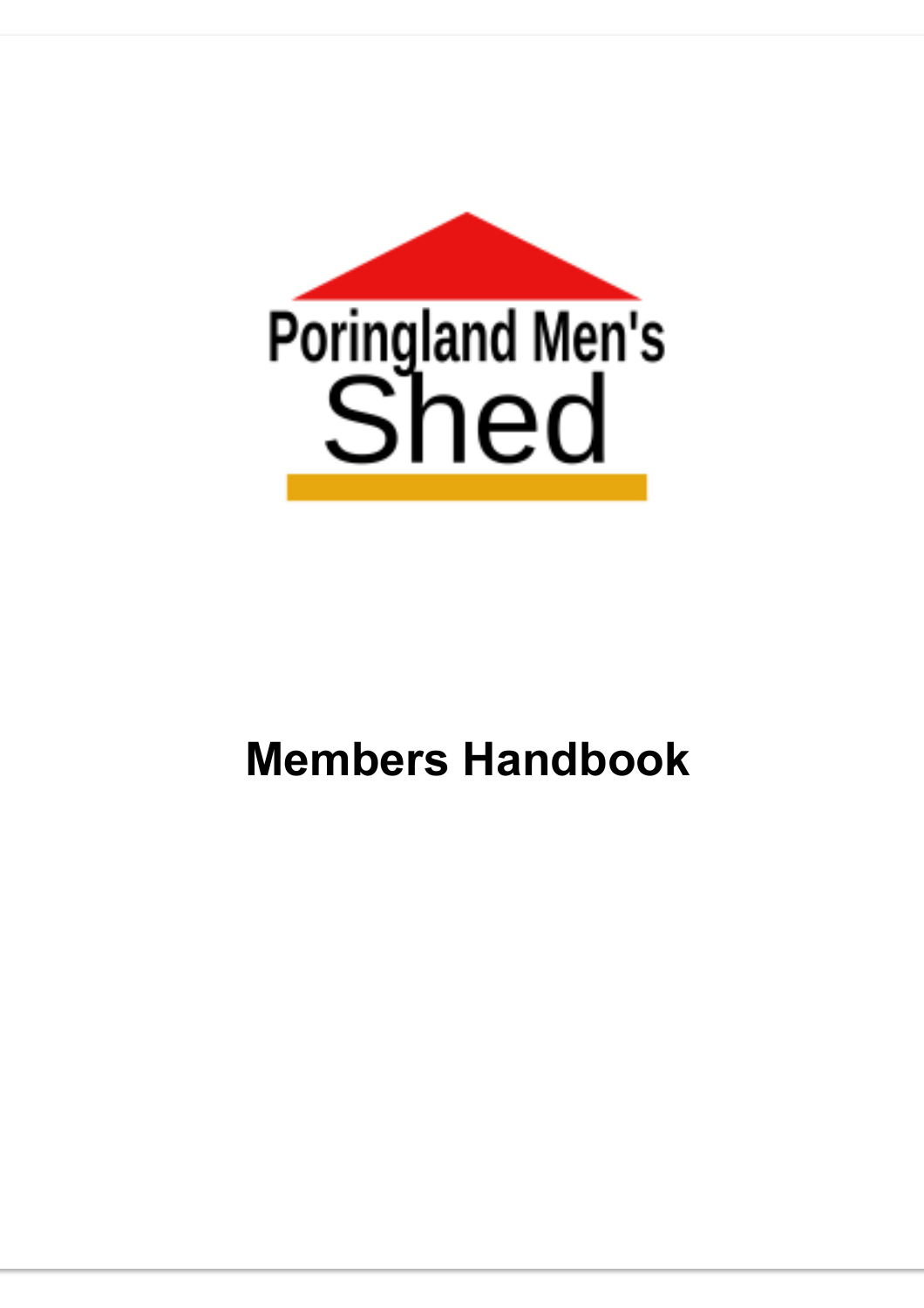

# **Members Handbook**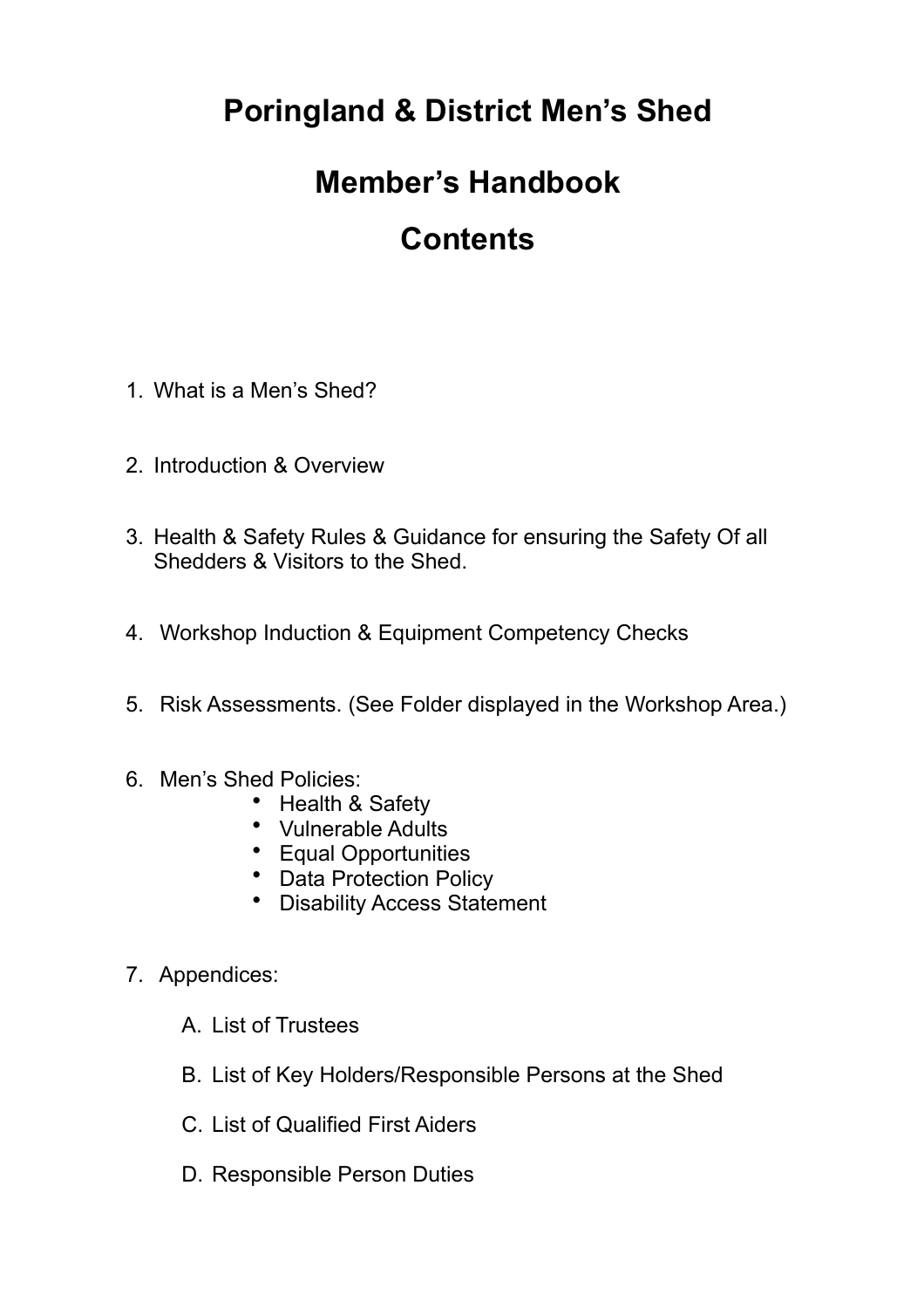# **Poringland & District Men's Shed**

### **Member's Handbook**

### **Contents**

- 1. What is a Men's Shed?
- 2. Introduction & Overview
- 3. Health & Safety Rules & Guidance for ensuring the Safety Of all Shedders & Visitors to the Shed.
- 4. Workshop Induction & Equipment Competency Checks
- 5. Risk Assessments. (See Folder displayed in the Workshop Area.)
- 6. Men's Shed Policies:
	- Health & Safety
	- Vulnerable Adults
	- Equal Opportunities
	- Data Protection Policy
	- Disability Access Statement
- 7. Appendices:
	- A. List of Trustees
	- B. List of Key Holders/Responsible Persons at the Shed
	- C. List of Qualified First Aiders
	- D. Responsible Person Duties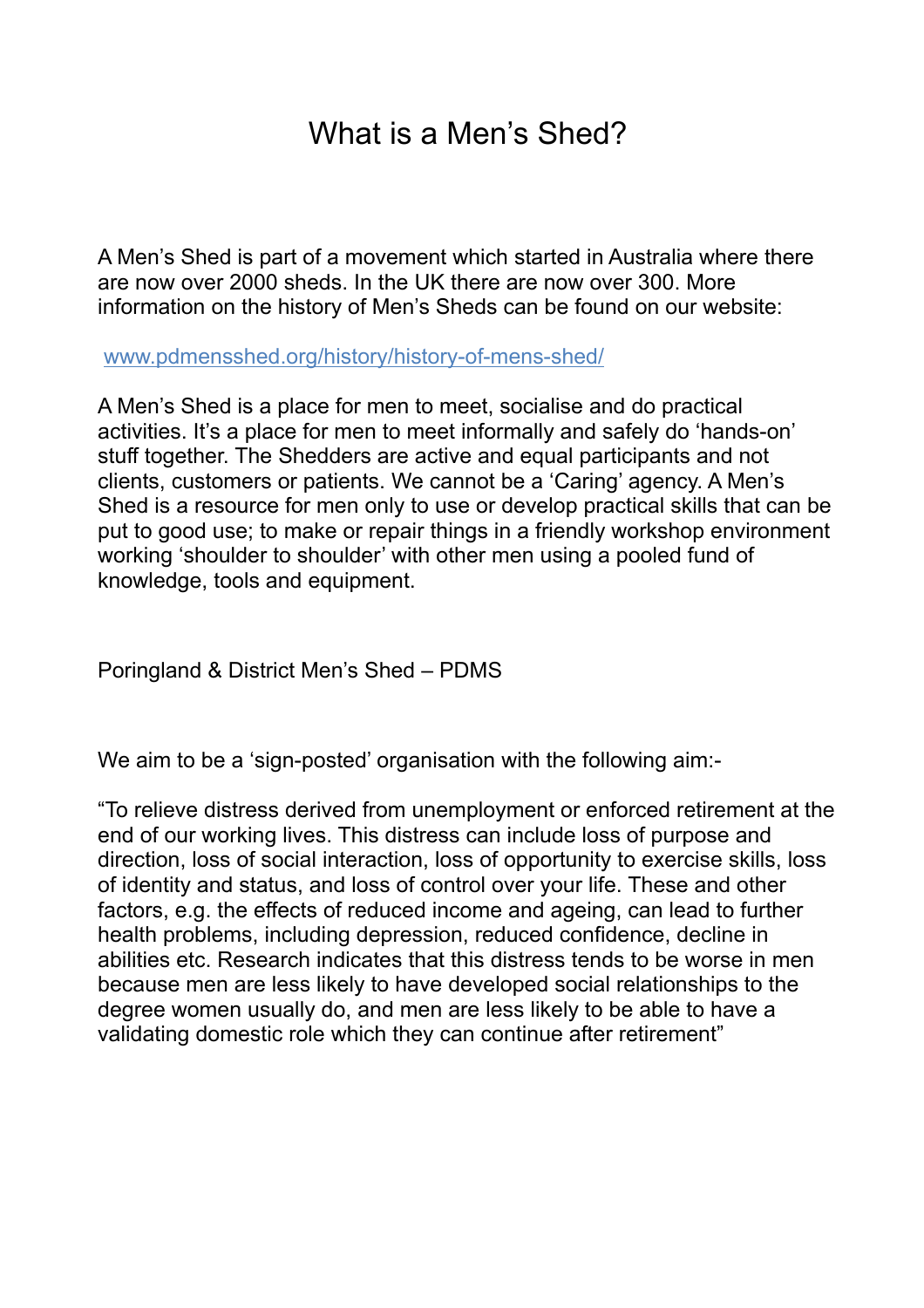### What is a Men's Shed?

A Men's Shed is part of a movement which started in Australia where there are now over 2000 sheds. In the UK there are now over 300. More information on the history of Men's Sheds can be found on our website:

www.pdmensshed.org/history/history-of-mens-shed/

A Men's Shed is a place for men to meet, socialise and do practical activities. It's a place for men to meet informally and safely do 'hands-on' stuff together. The Shedders are active and equal participants and not clients, customers or patients. We cannot be a 'Caring' agency. A Men's Shed is a resource for men only to use or develop practical skills that can be put to good use; to make or repair things in a friendly workshop environment working 'shoulder to shoulder' with other men using a pooled fund of knowledge, tools and equipment.

Poringland & District Men's Shed – PDMS

We aim to be a 'sign-posted' organisation with the following aim:-

"To relieve distress derived from unemployment or enforced retirement at the end of our working lives. This distress can include loss of purpose and direction, loss of social interaction, loss of opportunity to exercise skills, loss of identity and status, and loss of control over your life. These and other factors, e.g. the effects of reduced income and ageing, can lead to further health problems, including depression, reduced confidence, decline in abilities etc. Research indicates that this distress tends to be worse in men because men are less likely to have developed social relationships to the degree women usually do, and men are less likely to be able to have a validating domestic role which they can continue after retirement"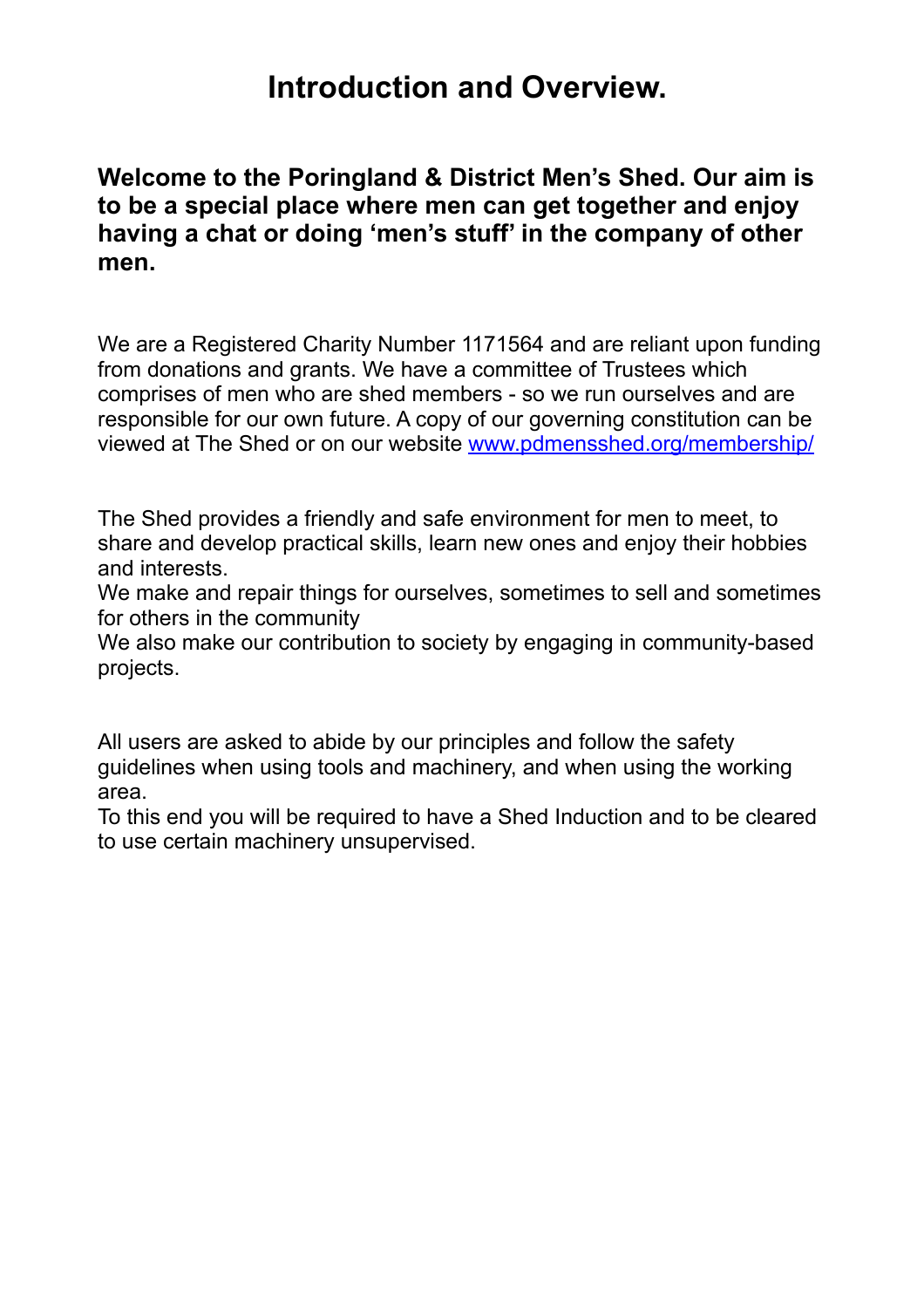### **Introduction and Overview.**

**Welcome to the Poringland & District Men's Shed. Our aim is to be a special place where men can get together and enjoy having a chat or doing 'men's stuff' in the company of other men.**

We are a Registered Charity Number 1171564 and are reliant upon funding from donations and grants. We have a committee of Trustees which comprises of men who are shed members - so we run ourselves and are responsible for our own future. A copy of our governing constitution can be viewed at The Shed or on our website [www.pdmensshed.org/membership/](http://www.pdmensshed.org/membership/)

The Shed provides a friendly and safe environment for men to meet, to share and develop practical skills, learn new ones and enjoy their hobbies and interests.

We make and repair things for ourselves, sometimes to sell and sometimes for others in the community

We also make our contribution to society by engaging in community-based projects.

All users are asked to abide by our principles and follow the safety guidelines when using tools and machinery, and when using the working area.

To this end you will be required to have a Shed Induction and to be cleared to use certain machinery unsupervised.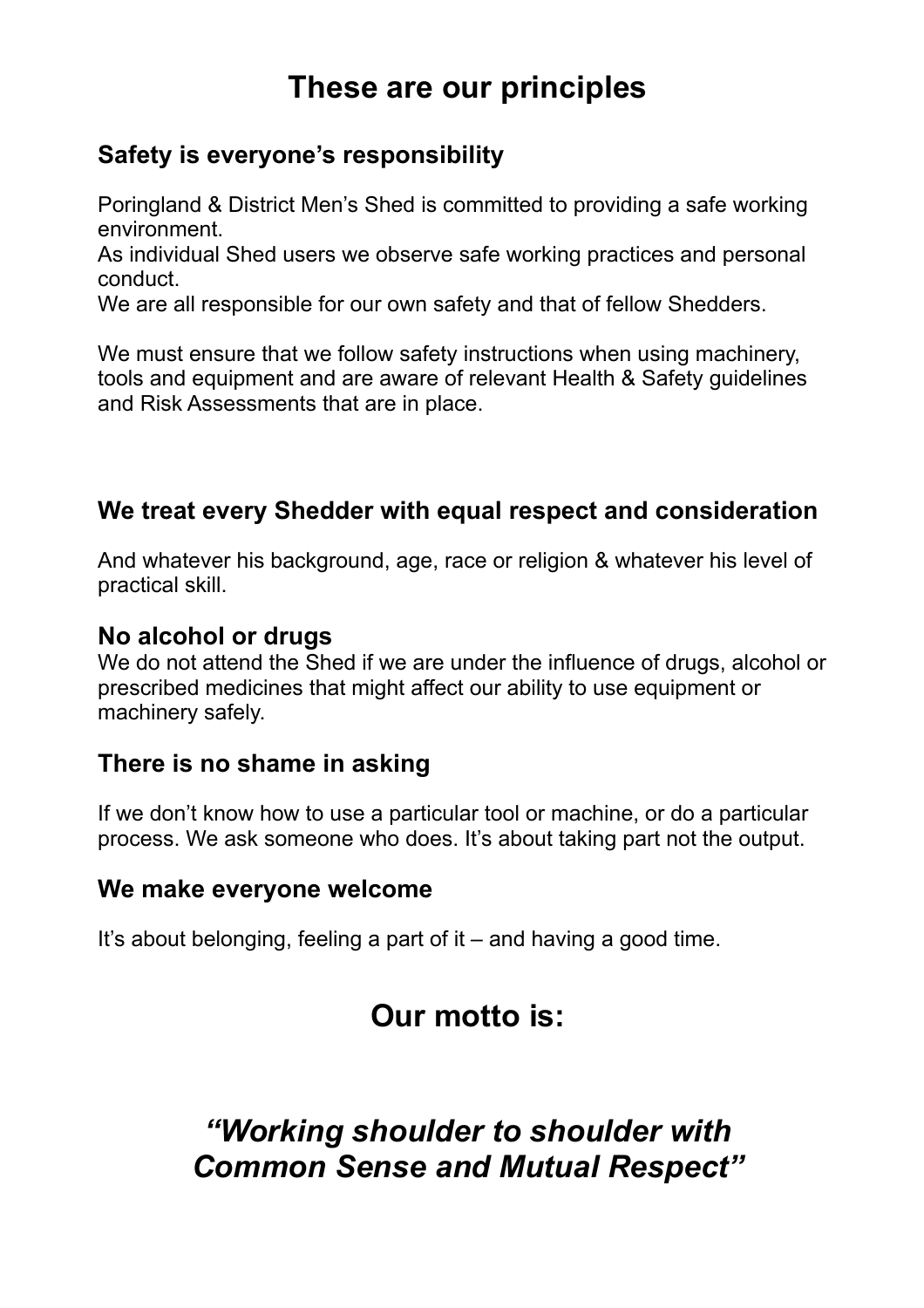### **These are our principles**

#### **Safety is everyone's responsibility**

Poringland & District Men's Shed is committed to providing a safe working environment.

As individual Shed users we observe safe working practices and personal conduct.

We are all responsible for our own safety and that of fellow Shedders.

We must ensure that we follow safety instructions when using machinery, tools and equipment and are aware of relevant Health & Safety guidelines and Risk Assessments that are in place.

#### **We treat every Shedder with equal respect and consideration**

And whatever his background, age, race or religion & whatever his level of practical skill.

#### **No alcohol or drugs**

We do not attend the Shed if we are under the influence of drugs, alcohol or prescribed medicines that might affect our ability to use equipment or machinery safely.

#### **There is no shame in asking**

If we don't know how to use a particular tool or machine, or do a particular process. We ask someone who does. It's about taking part not the output.

#### **We make everyone welcome**

It's about belonging, feeling a part of it – and having a good time.

### **Our motto is:**

### *"Working shoulder to shoulder with Common Sense and Mutual Respect"*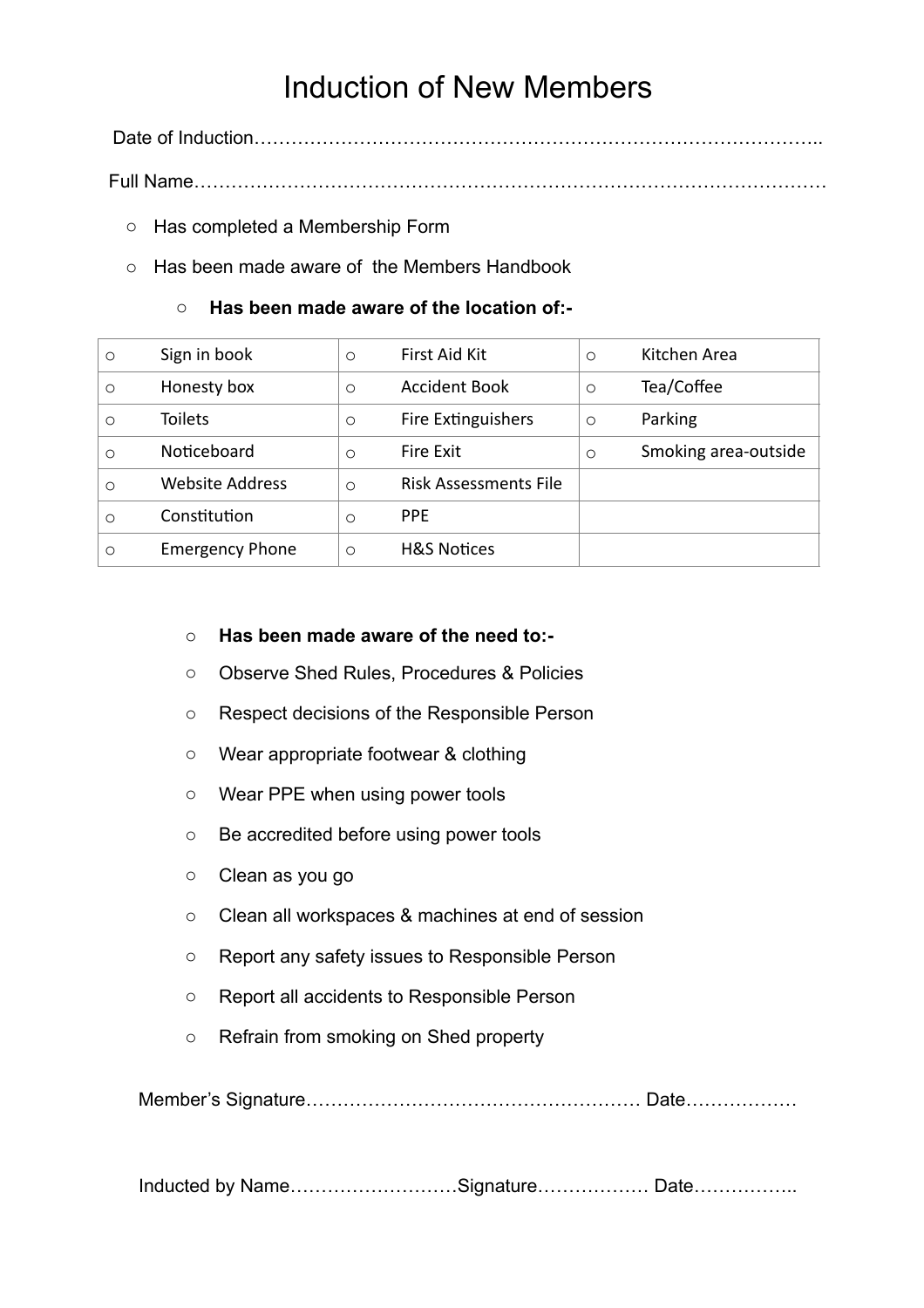### Induction of New Members

Date of Induction………………………………………………………………………………..

Full Name…………………………………………………………………………………………

- o Has completed a Membership Form
- o Has been made aware of the Members Handbook

#### o **Has been made aware of the location of:-**

| $\circ$ | Sign in book           | $\circ$ | First Aid Kit                | $\circ$ | Kitchen Area         |
|---------|------------------------|---------|------------------------------|---------|----------------------|
| $\circ$ | Honesty box            | $\circ$ | <b>Accident Book</b>         | $\circ$ | Tea/Coffee           |
| $\circ$ | Toilets                | $\circ$ | Fire Extinguishers           | $\circ$ | Parking              |
| $\circ$ | Noticeboard            | $\circ$ | Fire Exit                    | $\circ$ | Smoking area-outside |
| $\circ$ | <b>Website Address</b> | $\circ$ | <b>Risk Assessments File</b> |         |                      |
| $\circ$ | Constitution           | $\circ$ | <b>PPE</b>                   |         |                      |
| $\circ$ | <b>Emergency Phone</b> | $\circ$ | <b>H&amp;S Notices</b>       |         |                      |

#### o **Has been made aware of the need to:-**

- o Observe Shed Rules, Procedures & Policies
- o Respect decisions of the Responsible Person
- o Wear appropriate footwear & clothing
- o Wear PPE when using power tools
- o Be accredited before using power tools
- o Clean as you go
- o Clean all workspaces & machines at end of session
- o Report any safety issues to Responsible Person
- o Report all accidents to Responsible Person
- o Refrain from smoking on Shed property

Member's Signature……………………………………………… Date………………

Inducted by Name...........................Signature.................... Date.......................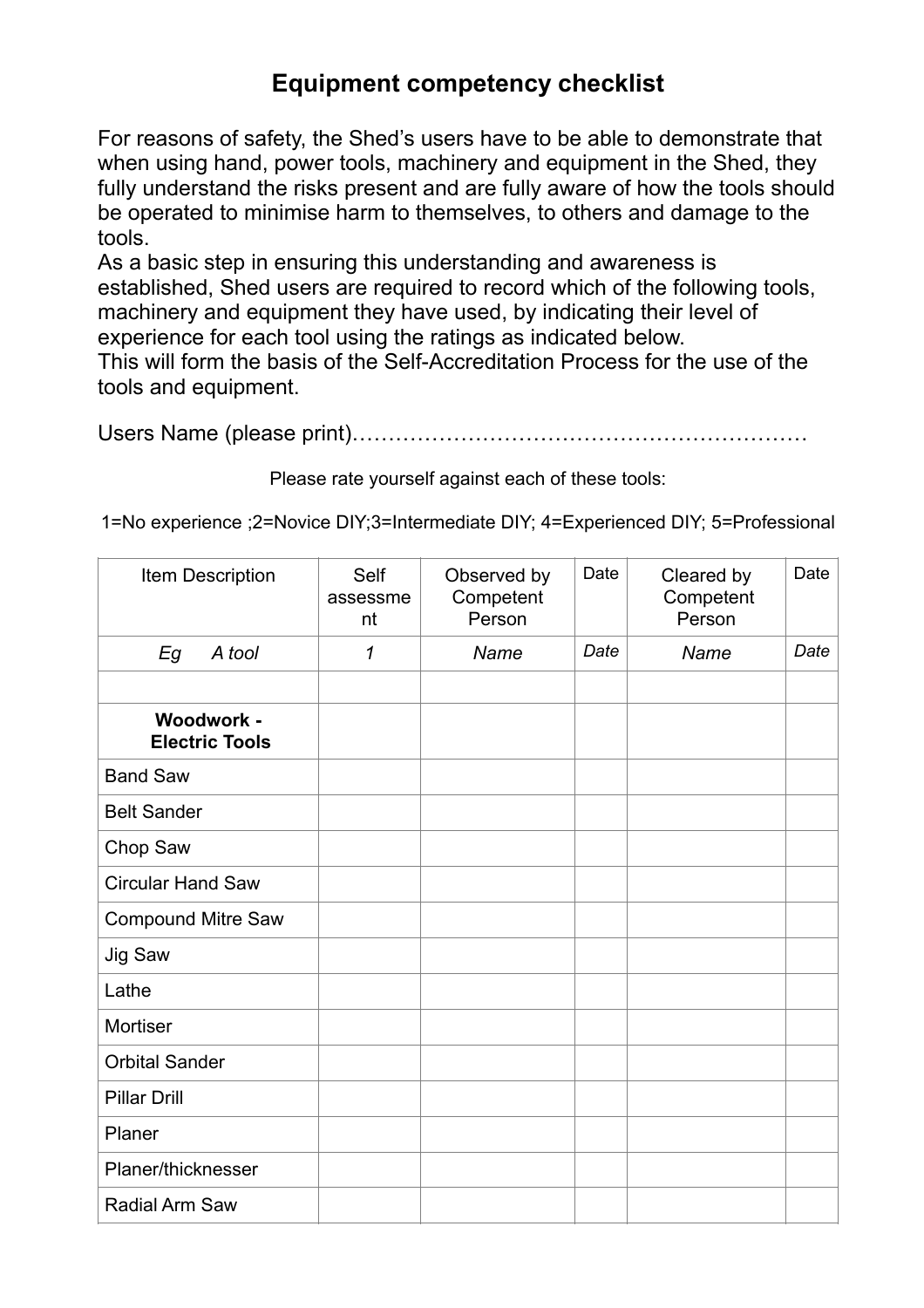#### **Equipment competency checklist**

For reasons of safety, the Shed's users have to be able to demonstrate that when using hand, power tools, machinery and equipment in the Shed, they fully understand the risks present and are fully aware of how the tools should be operated to minimise harm to themselves, to others and damage to the tools.

As a basic step in ensuring this understanding and awareness is established, Shed users are required to record which of the following tools, machinery and equipment they have used, by indicating their level of experience for each tool using the ratings as indicated below.

This will form the basis of the Self-Accreditation Process for the use of the tools and equipment.

Users Name (please print)………………………………………………………

Please rate yourself against each of these tools:

1=No experience ;2=Novice DIY;3=Intermediate DIY; 4=Experienced DIY; 5=Professional

| Item Description                    | <b>Self</b><br>assessme<br>nt | Observed by<br>Competent<br>Person | Date | Cleared by<br>Competent<br>Person | Date |
|-------------------------------------|-------------------------------|------------------------------------|------|-----------------------------------|------|
| Eg<br>A tool                        | $\mathcal I$                  | Name                               | Date | Name                              | Date |
|                                     |                               |                                    |      |                                   |      |
| Woodwork -<br><b>Electric Tools</b> |                               |                                    |      |                                   |      |
| <b>Band Saw</b>                     |                               |                                    |      |                                   |      |
| <b>Belt Sander</b>                  |                               |                                    |      |                                   |      |
| Chop Saw                            |                               |                                    |      |                                   |      |
| <b>Circular Hand Saw</b>            |                               |                                    |      |                                   |      |
| <b>Compound Mitre Saw</b>           |                               |                                    |      |                                   |      |
| Jig Saw                             |                               |                                    |      |                                   |      |
| Lathe                               |                               |                                    |      |                                   |      |
| Mortiser                            |                               |                                    |      |                                   |      |
| <b>Orbital Sander</b>               |                               |                                    |      |                                   |      |
| <b>Pillar Drill</b>                 |                               |                                    |      |                                   |      |
| Planer                              |                               |                                    |      |                                   |      |
| Planer/thicknesser                  |                               |                                    |      |                                   |      |
| Radial Arm Saw                      |                               |                                    |      |                                   |      |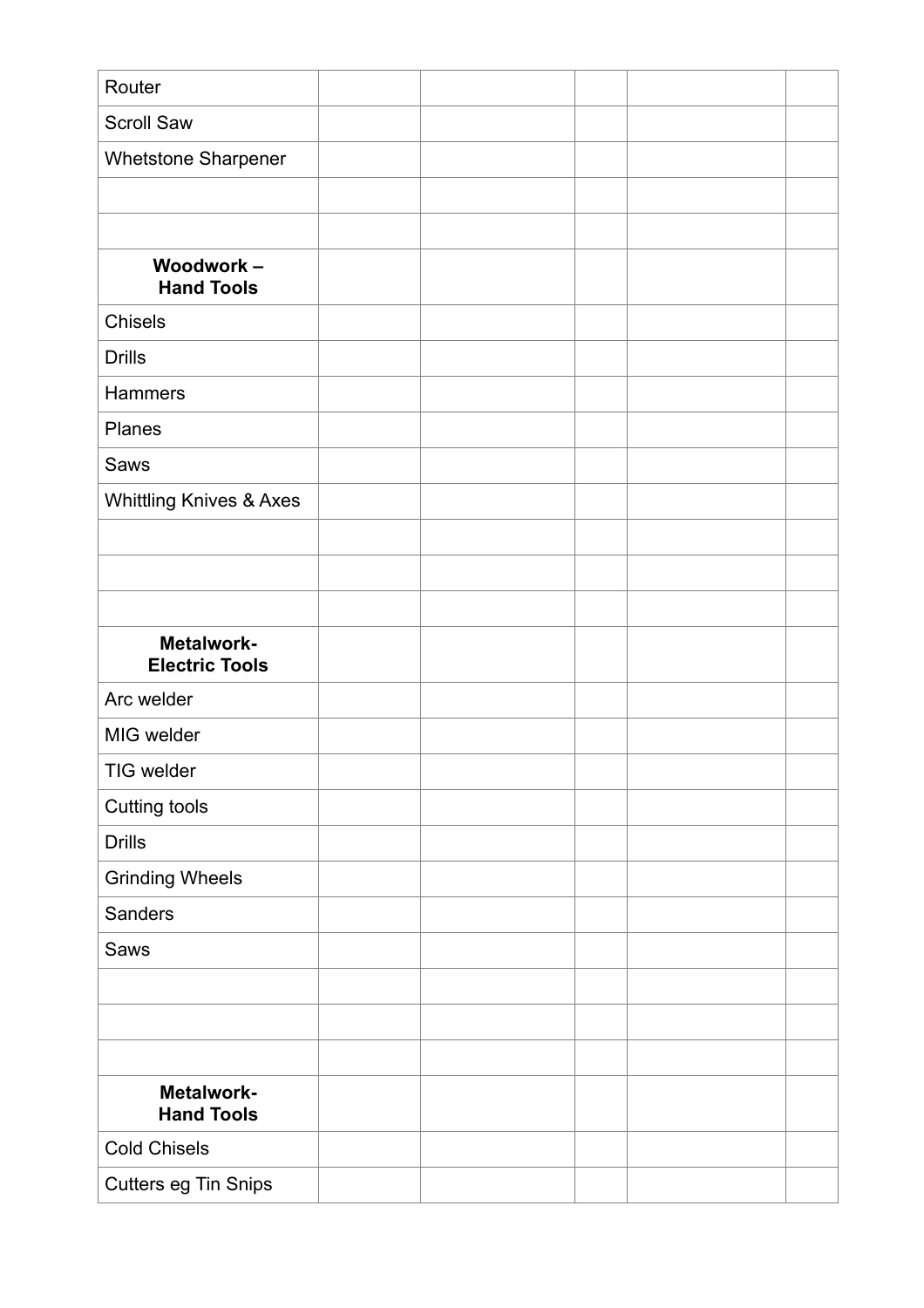| Router                                |  |  |  |
|---------------------------------------|--|--|--|
| <b>Scroll Saw</b>                     |  |  |  |
| Whetstone Sharpener                   |  |  |  |
|                                       |  |  |  |
|                                       |  |  |  |
| <b>Woodwork-</b><br><b>Hand Tools</b> |  |  |  |
| Chisels                               |  |  |  |
| <b>Drills</b>                         |  |  |  |
| <b>Hammers</b>                        |  |  |  |
| Planes                                |  |  |  |
| Saws                                  |  |  |  |
| <b>Whittling Knives &amp; Axes</b>    |  |  |  |
|                                       |  |  |  |
|                                       |  |  |  |
|                                       |  |  |  |
| Metalwork-<br><b>Electric Tools</b>   |  |  |  |
| Arc welder                            |  |  |  |
| MIG welder                            |  |  |  |
| TIG welder                            |  |  |  |
| Cutting tools                         |  |  |  |
| <b>Drills</b>                         |  |  |  |
| <b>Grinding Wheels</b>                |  |  |  |
| Sanders                               |  |  |  |
| Saws                                  |  |  |  |
|                                       |  |  |  |
|                                       |  |  |  |
|                                       |  |  |  |
| Metalwork-<br><b>Hand Tools</b>       |  |  |  |
| <b>Cold Chisels</b>                   |  |  |  |
| Cutters eg Tin Snips                  |  |  |  |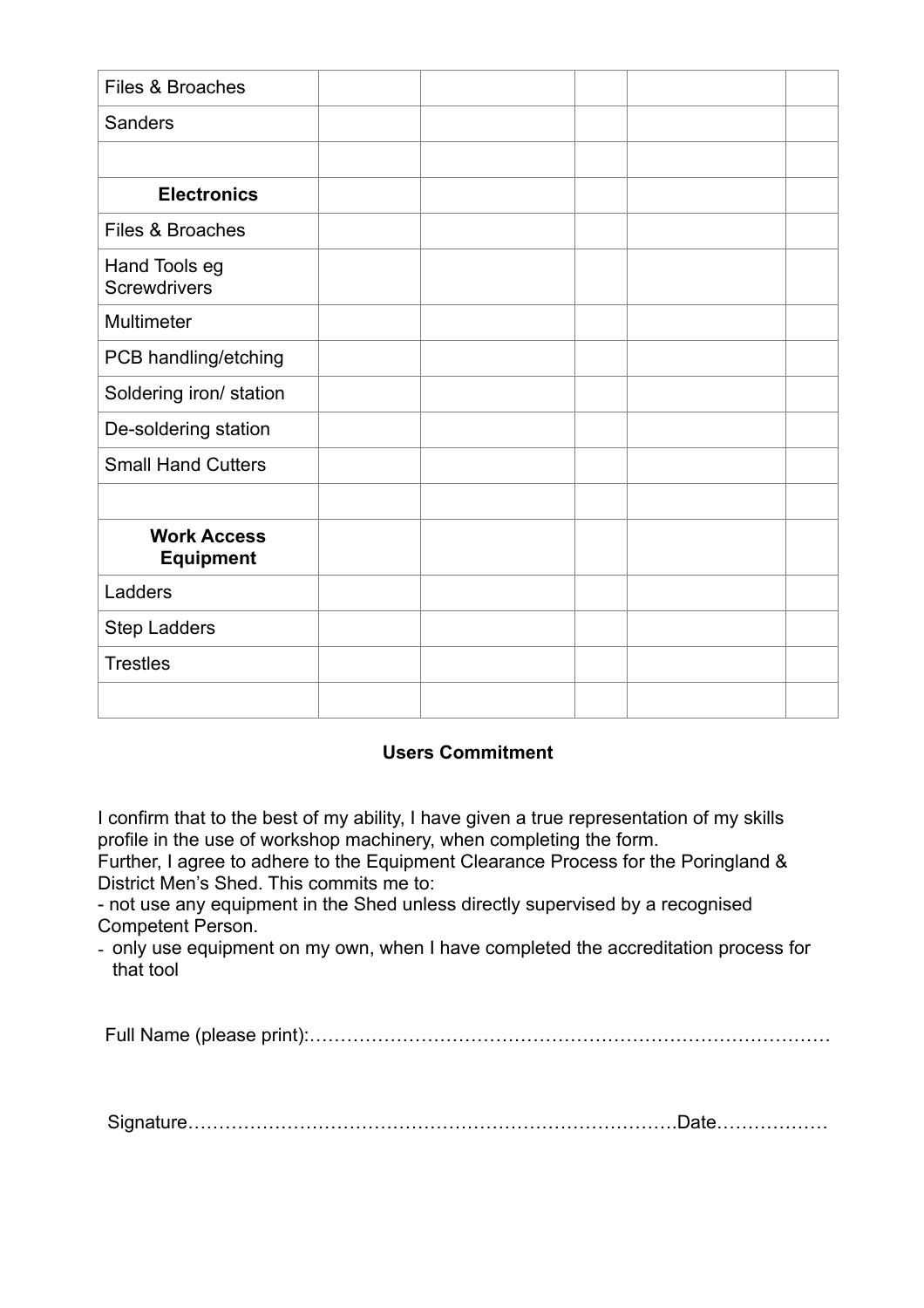| Files & Broaches                       |  |  |  |
|----------------------------------------|--|--|--|
| <b>Sanders</b>                         |  |  |  |
|                                        |  |  |  |
| <b>Electronics</b>                     |  |  |  |
| Files & Broaches                       |  |  |  |
| Hand Tools eg<br><b>Screwdrivers</b>   |  |  |  |
| Multimeter                             |  |  |  |
| PCB handling/etching                   |  |  |  |
| Soldering iron/ station                |  |  |  |
| De-soldering station                   |  |  |  |
| <b>Small Hand Cutters</b>              |  |  |  |
|                                        |  |  |  |
| <b>Work Access</b><br><b>Equipment</b> |  |  |  |
| Ladders                                |  |  |  |
| <b>Step Ladders</b>                    |  |  |  |
| <b>Trestles</b>                        |  |  |  |
|                                        |  |  |  |

#### **Users Commitment**

I confirm that to the best of my ability, I have given a true representation of my skills profile in the use of workshop machinery, when completing the form.

Further, I agree to adhere to the Equipment Clearance Process for the Poringland & District Men's Shed. This commits me to:

- not use any equipment in the Shed unless directly supervised by a recognised Competent Person.

- only use equipment on my own, when I have completed the accreditation process for that tool

Full Name (please print):…………………………………………………………………………

Signature…………………………………………………………………….Date………………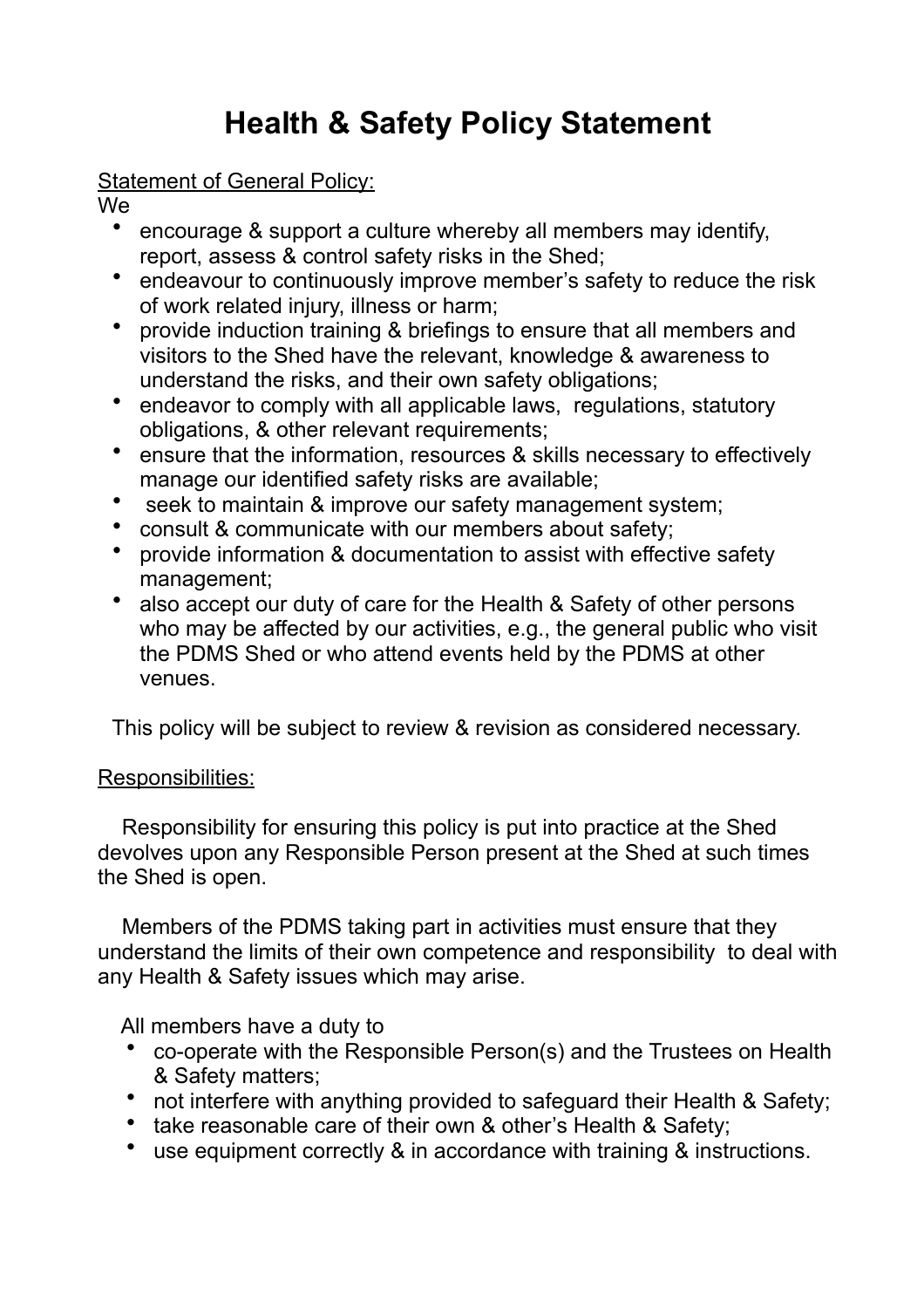# **Health & Safety Policy Statement**

#### Statement of General Policy:

We

- encourage & support a culture whereby all members may identify, report, assess & control safety risks in the Shed;
- endeavour to continuously improve member's safety to reduce the risk of work related injury, illness or harm;
- provide induction training & briefings to ensure that all members and visitors to the Shed have the relevant, knowledge & awareness to understand the risks, and their own safety obligations;
- endeavor to comply with all applicable laws, regulations, statutory obligations, & other relevant requirements;
- ensure that the information, resources & skills necessary to effectively manage our identified safety risks are available;
- seek to maintain & improve our safety management system;
- consult & communicate with our members about safety;
- provide information & documentation to assist with effective safety management;
- also accept our duty of care for the Health & Safety of other persons who may be affected by our activities, e.g., the general public who visit the PDMS Shed or who attend events held by the PDMS at other venues.

This policy will be subject to review & revision as considered necessary.

#### Responsibilities:

 Responsibility for ensuring this policy is put into practice at the Shed devolves upon any Responsible Person present at the Shed at such times the Shed is open.

 Members of the PDMS taking part in activities must ensure that they understand the limits of their own competence and responsibility to deal with any Health & Safety issues which may arise.

All members have a duty to

- co-operate with the Responsible Person(s) and the Trustees on Health & Safety matters;
- not interfere with anything provided to safeguard their Health & Safety;
- take reasonable care of their own & other's Health & Safety;
- use equipment correctly & in accordance with training & instructions.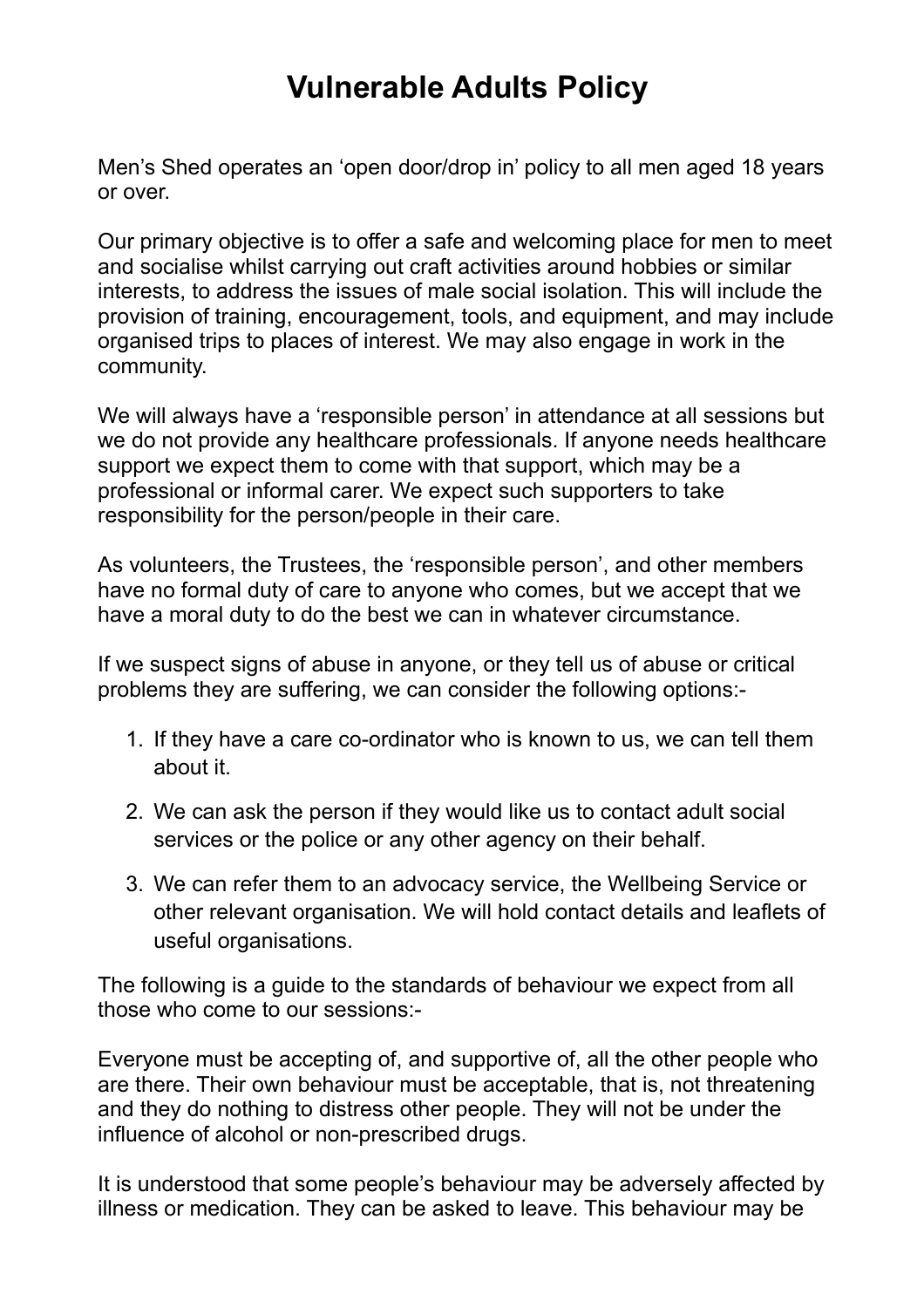# **Vulnerable Adults Policy**

Men's Shed operates an 'open door/drop in' policy to all men aged 18 years or over.

Our primary objective is to offer a safe and welcoming place for men to meet and socialise whilst carrying out craft activities around hobbies or similar interests, to address the issues of male social isolation. This will include the provision of training, encouragement, tools, and equipment, and may include organised trips to places of interest. We may also engage in work in the community.

We will always have a 'responsible person' in attendance at all sessions but we do not provide any healthcare professionals. If anyone needs healthcare support we expect them to come with that support, which may be a professional or informal carer. We expect such supporters to take responsibility for the person/people in their care.

As volunteers, the Trustees, the 'responsible person', and other members have no formal duty of care to anyone who comes, but we accept that we have a moral duty to do the best we can in whatever circumstance.

If we suspect signs of abuse in anyone, or they tell us of abuse or critical problems they are suffering, we can consider the following options:-

- 1. If they have a care co-ordinator who is known to us, we can tell them about it.
- 2. We can ask the person if they would like us to contact adult social services or the police or any other agency on their behalf.
- 3. We can refer them to an advocacy service, the Wellbeing Service or other relevant organisation. We will hold contact details and leaflets of useful organisations.

The following is a guide to the standards of behaviour we expect from all those who come to our sessions:-

Everyone must be accepting of, and supportive of, all the other people who are there. Their own behaviour must be acceptable, that is, not threatening and they do nothing to distress other people. They will not be under the influence of alcohol or non-prescribed drugs.

It is understood that some people's behaviour may be adversely affected by illness or medication. They can be asked to leave. This behaviour may be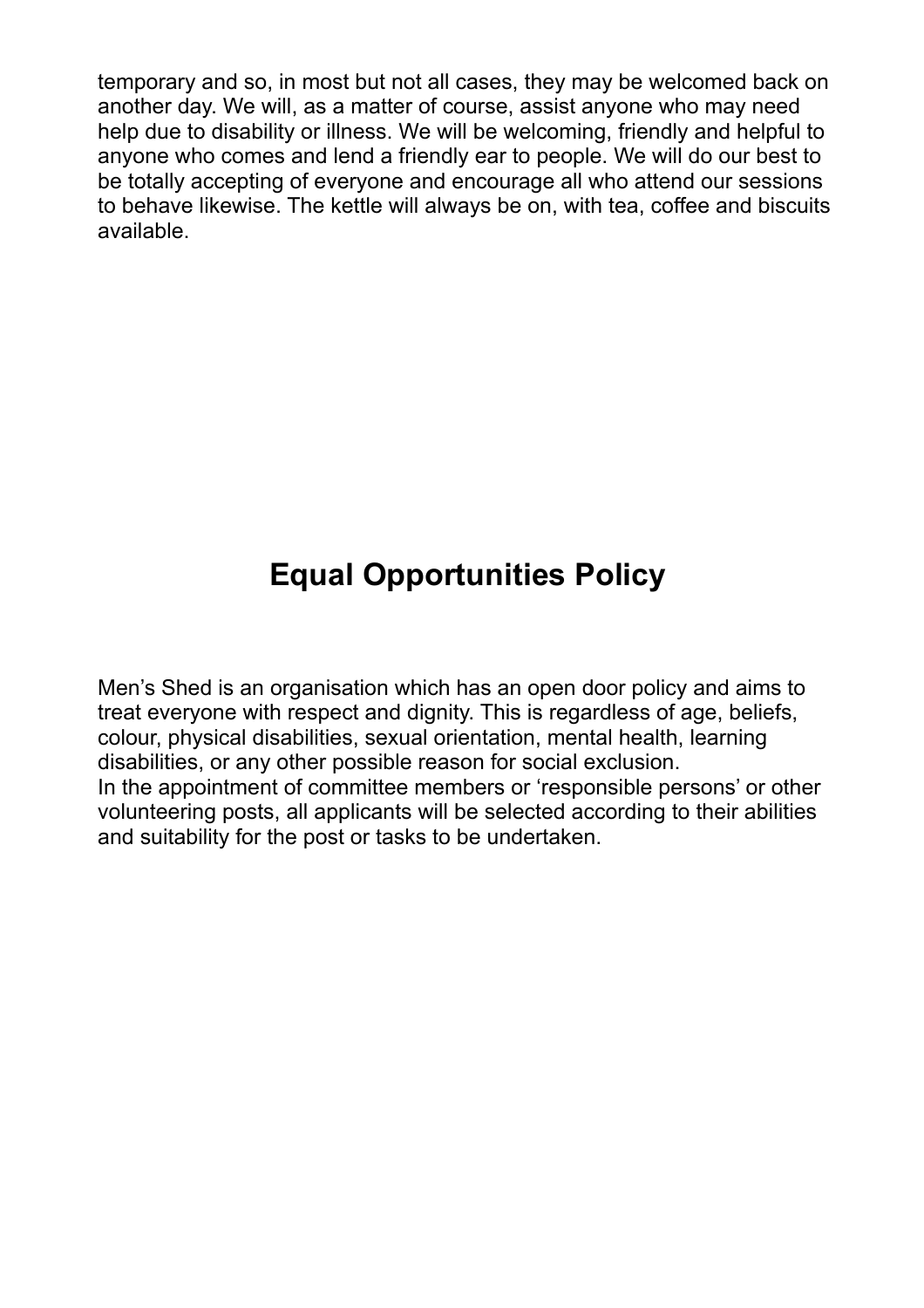temporary and so, in most but not all cases, they may be welcomed back on another day. We will, as a matter of course, assist anyone who may need help due to disability or illness. We will be welcoming, friendly and helpful to anyone who comes and lend a friendly ear to people. We will do our best to be totally accepting of everyone and encourage all who attend our sessions to behave likewise. The kettle will always be on, with tea, coffee and biscuits available.

# **Equal Opportunities Policy**

Men's Shed is an organisation which has an open door policy and aims to treat everyone with respect and dignity. This is regardless of age, beliefs, colour, physical disabilities, sexual orientation, mental health, learning disabilities, or any other possible reason for social exclusion. In the appointment of committee members or 'responsible persons' or other volunteering posts, all applicants will be selected according to their abilities and suitability for the post or tasks to be undertaken.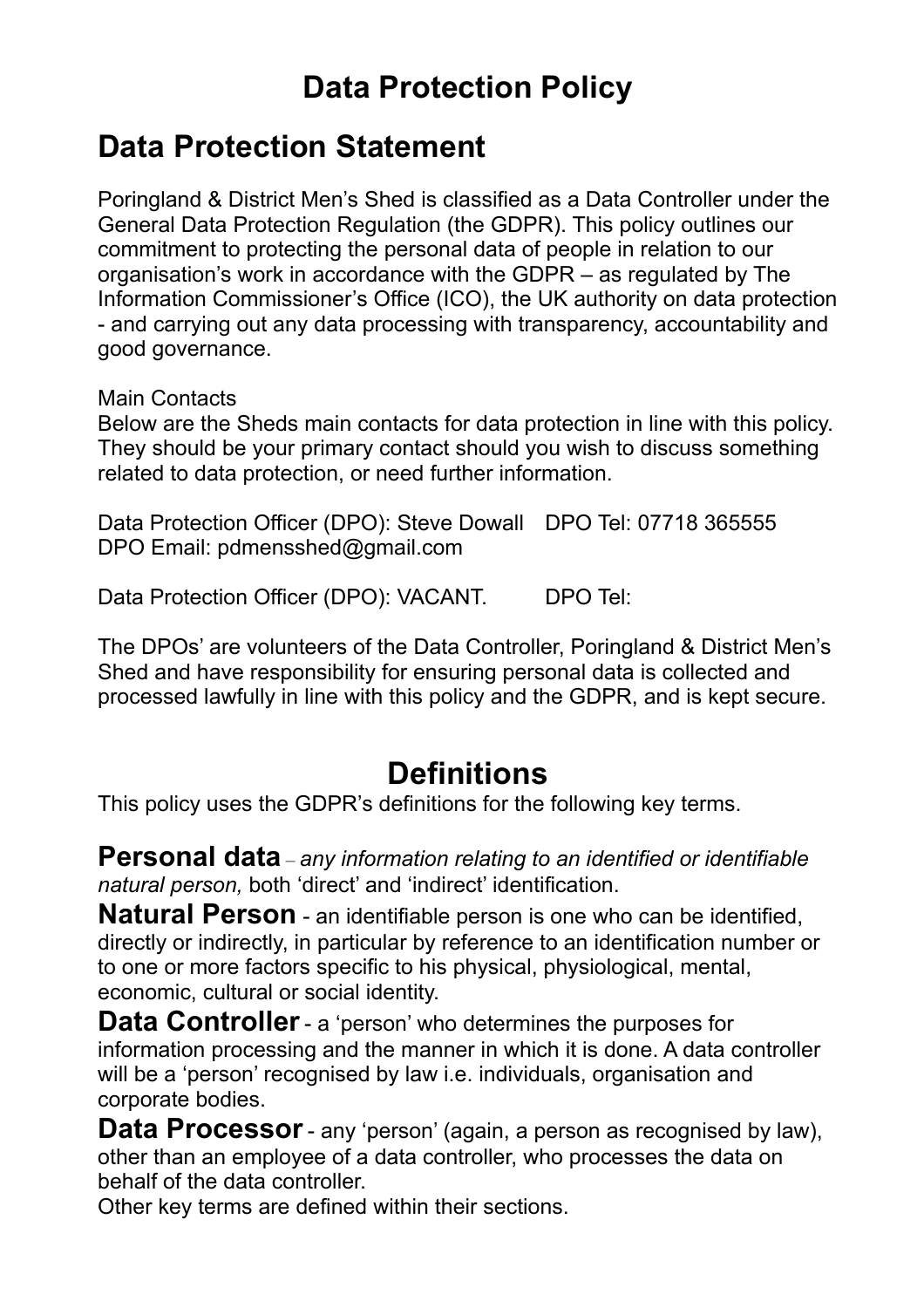# **Data Protection Policy**

### **Data Protection Statement**

Poringland & District Men's Shed is classified as a Data Controller under the General Data Protection Regulation (the GDPR). This policy outlines our commitment to protecting the personal data of people in relation to our organisation's work in accordance with the GDPR – as regulated by The Information Commissioner's Office (ICO), the UK authority on data protection - and carrying out any data processing with transparency, accountability and good governance.

Main Contacts

Below are the Sheds main contacts for data protection in line with this policy. They should be your primary contact should you wish to discuss something related to data protection, or need further information.

Data Protection Officer (DPO): Steve Dowall DPO Tel: 07718 365555 DPO Email: pdmensshed@gmail.com

Data Protection Officer (DPO): VACANT. DPO Tel:

The DPOs' are volunteers of the Data Controller, Poringland & District Men's Shed and have responsibility for ensuring personal data is collected and processed lawfully in line with this policy and the GDPR, and is kept secure.

### **Definitions**

This policy uses the GDPR's definitions for the following key terms.

**Personal data** – *any information relating to an identified or identifiable natural person,* both 'direct' and 'indirect' identification.

**Natural Person** - an identifiable person is one who can be identified, directly or indirectly, in particular by reference to an identification number or to one or more factors specific to his physical, physiological, mental, economic, cultural or social identity.

**Data Controller** - a 'person' who determines the purposes for information processing and the manner in which it is done. A data controller will be a 'person' recognised by law i.e. individuals, organisation and corporate bodies.

**Data Processor**- any 'person' (again, a person as recognised by law), other than an employee of a data controller, who processes the data on behalf of the data controller.

Other key terms are defined within their sections.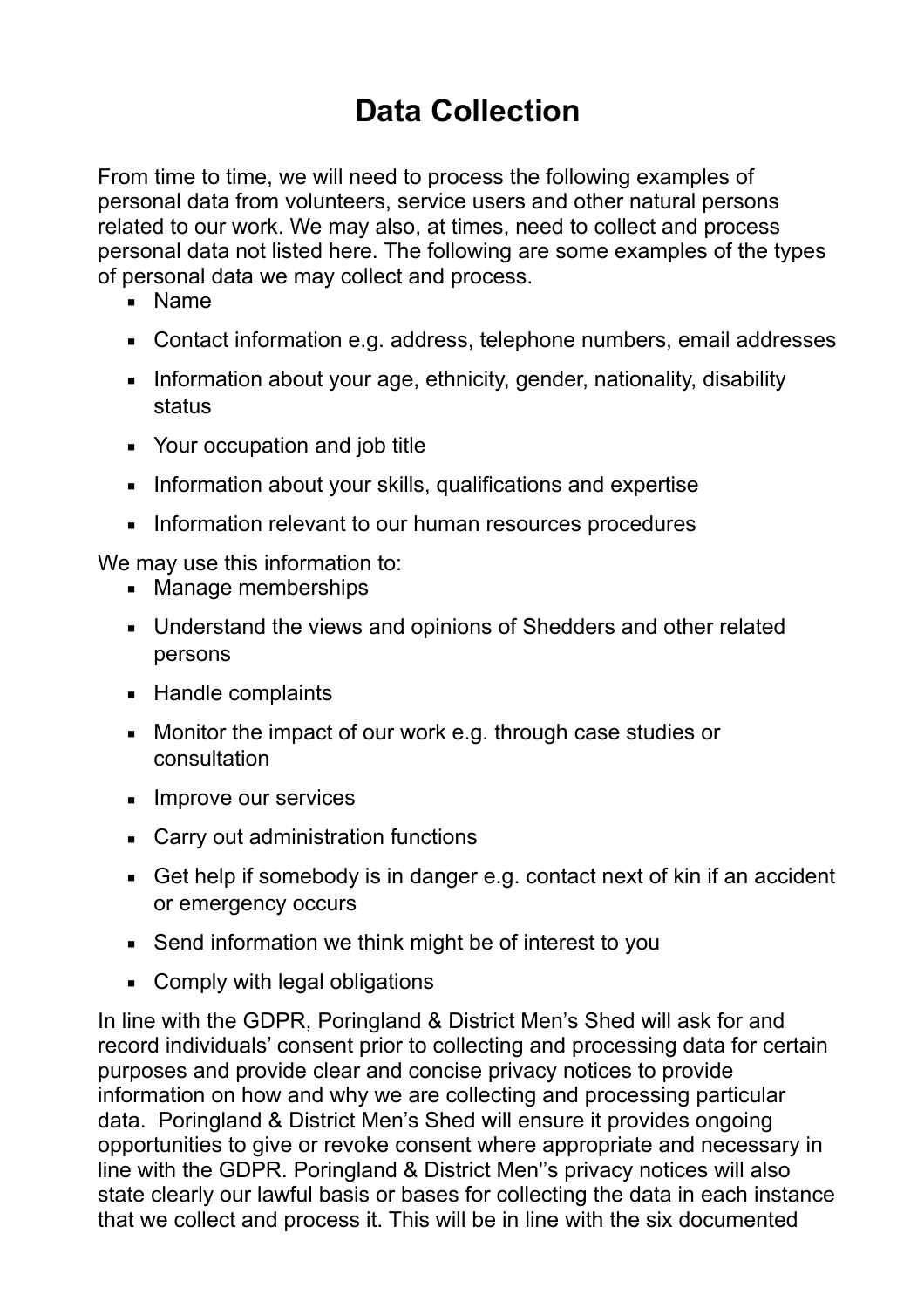# **Data Collection**

From time to time, we will need to process the following examples of personal data from volunteers, service users and other natural persons related to our work. We may also, at times, need to collect and process personal data not listed here. The following are some examples of the types of personal data we may collect and process.

- Name
- Contact information e.g. address, telephone numbers, email addresses
- **EXEDENT** Information about your age, ethnicity, gender, nationality, disability status
- Your occupation and job title
- **EXEDENT Information about your skills, qualifications and expertise**
- **EXECT** Information relevant to our human resources procedures

We may use this information to:

- Manage memberships
- Understand the views and opinions of Shedders and other related persons
- Handle complaints
- Monitor the impact of our work e.g. through case studies or consultation
- **Improve our services**
- Carry out administration functions
- Get help if somebody is in danger e.g. contact next of kin if an accident or emergency occurs
- Send information we think might be of interest to you
- Comply with legal obligations

In line with the GDPR, Poringland & District Men's Shed will ask for and record individuals' consent prior to collecting and processing data for certain purposes and provide clear and concise privacy notices to provide information on how and why we are collecting and processing particular data. Poringland & District Men's Shed will ensure it provides ongoing opportunities to give or revoke consent where appropriate and necessary in line with the GDPR. Poringland & District Men''s privacy notices will also state clearly our lawful basis or bases for collecting the data in each instance that we collect and process it. This will be in line with the six documented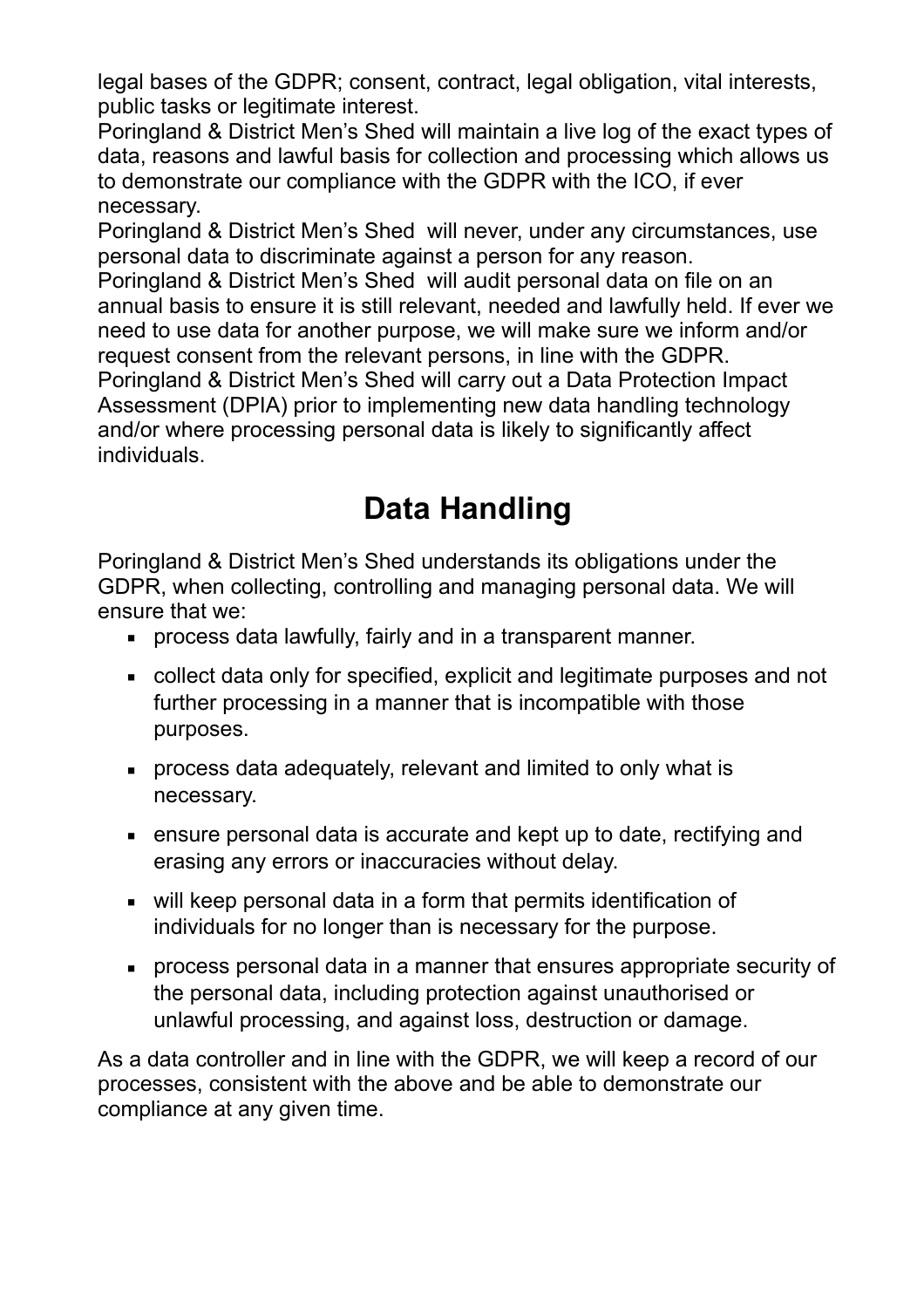legal bases of the GDPR; consent, contract, legal obligation, vital interests, public tasks or legitimate interest.

Poringland & District Men's Shed will maintain a live log of the exact types of data, reasons and lawful basis for collection and processing which allows us to demonstrate our compliance with the GDPR with the ICO, if ever necessary.

Poringland & District Men's Shed will never, under any circumstances, use personal data to discriminate against a person for any reason.

Poringland & District Men's Shed will audit personal data on file on an annual basis to ensure it is still relevant, needed and lawfully held. If ever we need to use data for another purpose, we will make sure we inform and/or request consent from the relevant persons, in line with the GDPR. Poringland & District Men's Shed will carry out a Data Protection Impact Assessment (DPIA) prior to implementing new data handling technology and/or where processing personal data is likely to significantly affect individuals.

# **Data Handling**

Poringland & District Men's Shed understands its obligations under the GDPR, when collecting, controlling and managing personal data. We will ensure that we:

- **EXEDENT FIGHTS IN A THE PROCESS data lawfully, fairly and in a transparent manner.**
- collect data only for specified, explicit and legitimate purposes and not further processing in a manner that is incompatible with those purposes.
- process data adequately, relevant and limited to only what is necessary.
- ensure personal data is accurate and kept up to date, rectifying and erasing any errors or inaccuracies without delay.
- will keep personal data in a form that permits identification of individuals for no longer than is necessary for the purpose.
- process personal data in a manner that ensures appropriate security of the personal data, including protection against unauthorised or unlawful processing, and against loss, destruction or damage.

As a data controller and in line with the GDPR, we will keep a record of our processes, consistent with the above and be able to demonstrate our compliance at any given time.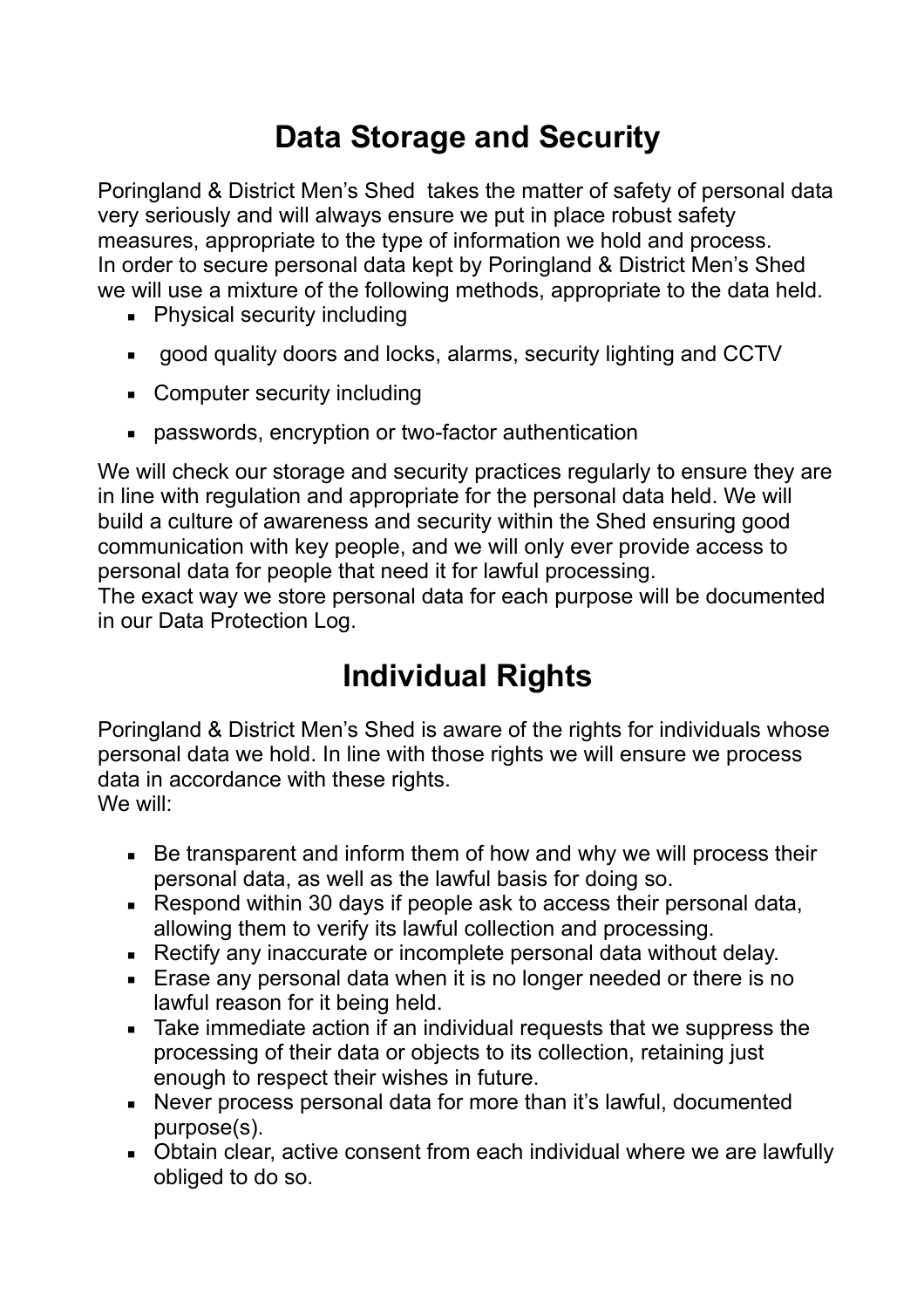# **Data Storage and Security**

Poringland & District Men's Shed takes the matter of safety of personal data very seriously and will always ensure we put in place robust safety measures, appropriate to the type of information we hold and process. In order to secure personal data kept by Poringland & District Men's Shed we will use a mixture of the following methods, appropriate to the data held.

- Physical security including
- good quality doors and locks, alarms, security lighting and CCTV
- Computer security including
- passwords, encryption or two-factor authentication

We will check our storage and security practices regularly to ensure they are in line with regulation and appropriate for the personal data held. We will build a culture of awareness and security within the Shed ensuring good communication with key people, and we will only ever provide access to personal data for people that need it for lawful processing.

The exact way we store personal data for each purpose will be documented in our Data Protection Log.

# **Individual Rights**

Poringland & District Men's Shed is aware of the rights for individuals whose personal data we hold. In line with those rights we will ensure we process data in accordance with these rights. We will:

- Be transparent and inform them of how and why we will process their personal data, as well as the lawful basis for doing so.
- Respond within 30 days if people ask to access their personal data, allowing them to verify its lawful collection and processing.
- Rectify any inaccurate or incomplete personal data without delay.
- **Example 20 Frase any personal data when it is no longer needed or there is no** lawful reason for it being held.
- Take immediate action if an individual requests that we suppress the processing of their data or objects to its collection, retaining just enough to respect their wishes in future.
- Never process personal data for more than it's lawful, documented purpose(s).
- Obtain clear, active consent from each individual where we are lawfully obliged to do so.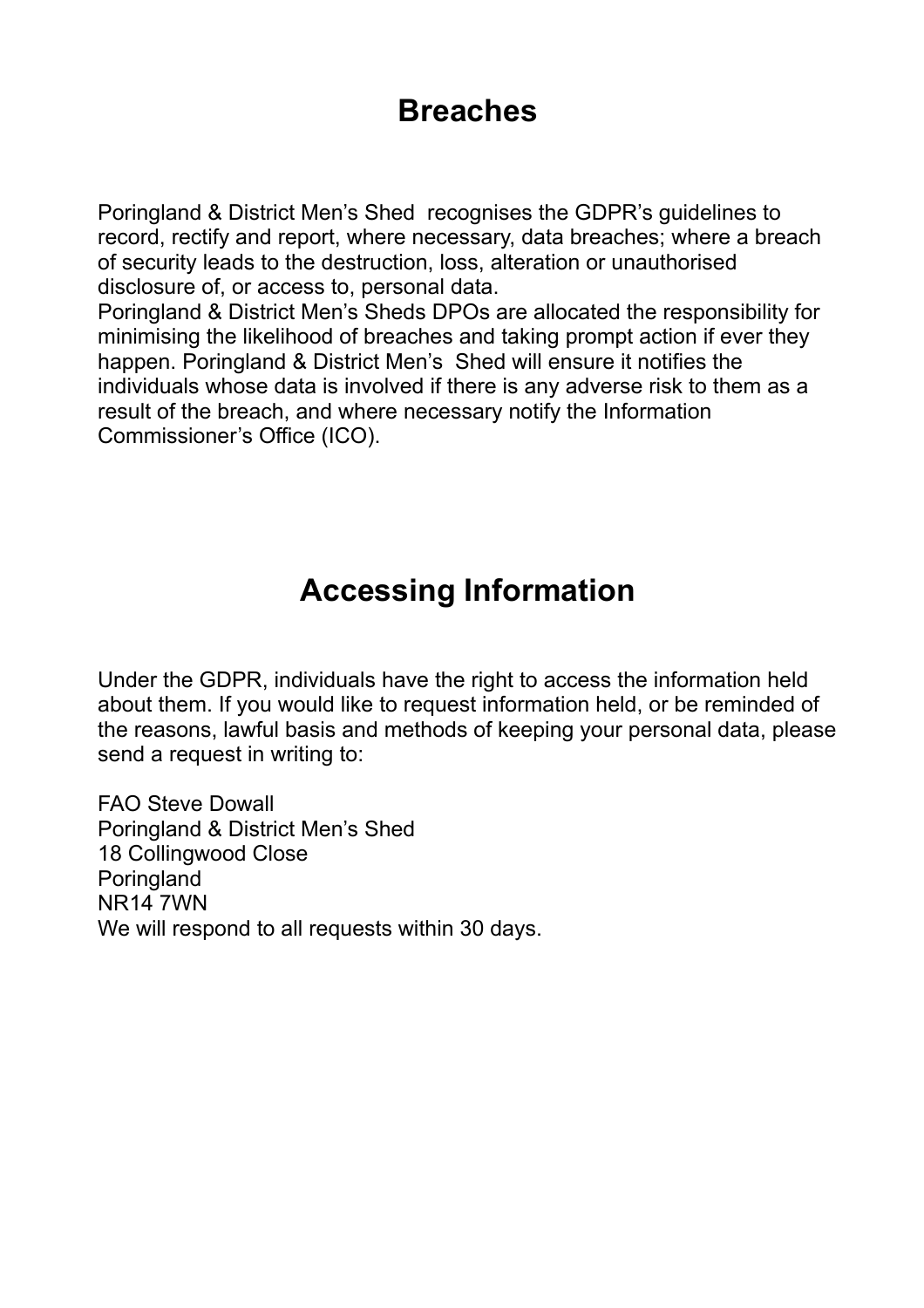### **Breaches**

Poringland & District Men's Shed recognises the GDPR's guidelines to record, rectify and report, where necessary, data breaches; where a breach of security leads to the destruction, loss, alteration or unauthorised disclosure of, or access to, personal data.

Poringland & District Men's Sheds DPOs are allocated the responsibility for minimising the likelihood of breaches and taking prompt action if ever they happen. Poringland & District Men's Shed will ensure it notifies the individuals whose data is involved if there is any adverse risk to them as a result of the breach, and where necessary notify the Information Commissioner's Office (ICO).

### **Accessing Information**

Under the GDPR, individuals have the right to access the information held about them. If you would like to request information held, or be reminded of the reasons, lawful basis and methods of keeping your personal data, please send a request in writing to:

FAO Steve Dowall Poringland & District Men's Shed 18 Collingwood Close **Poringland** NR14 7WN We will respond to all requests within 30 days.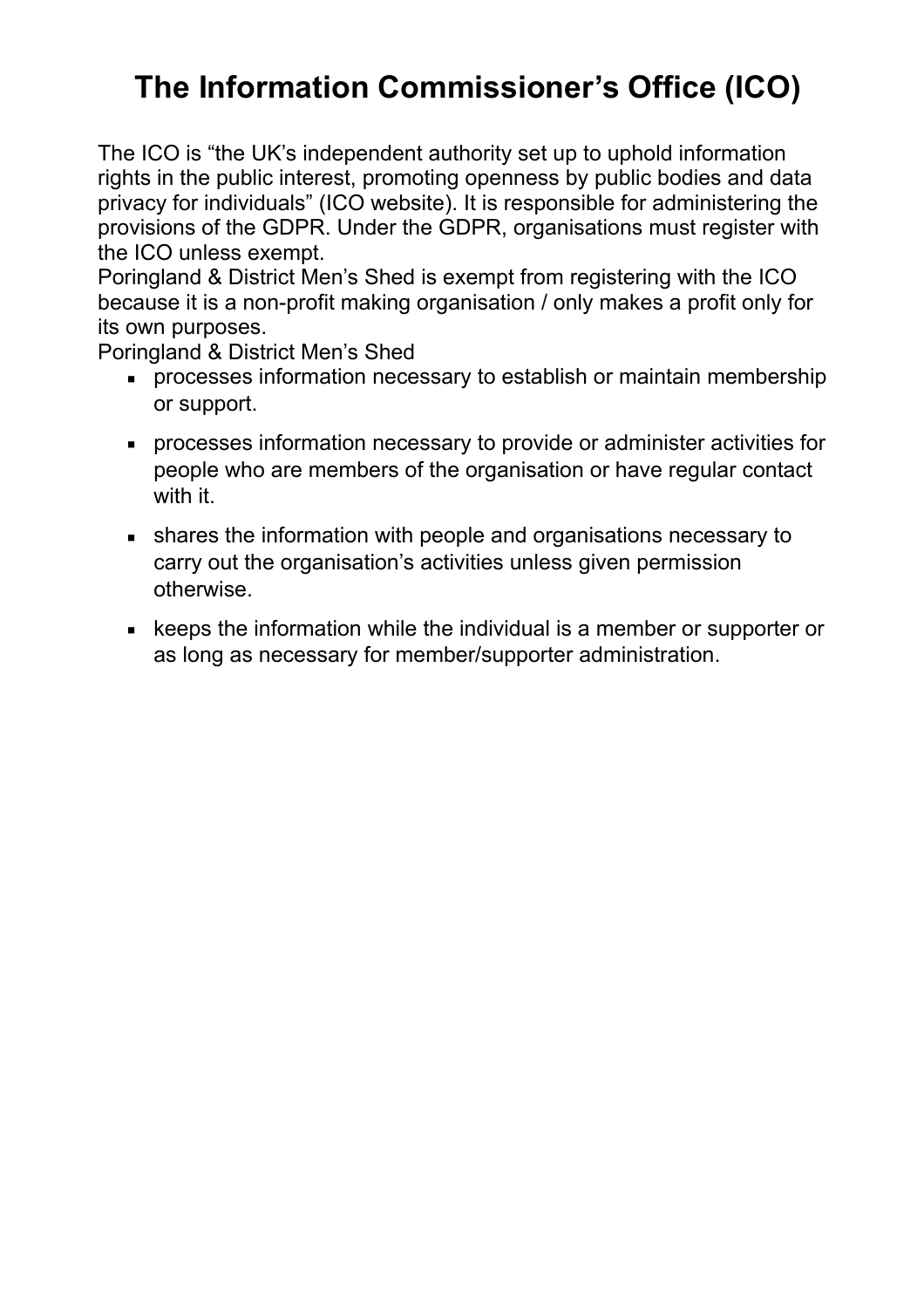# **The Information Commissioner's Office (ICO)**

The ICO is "the UK's independent authority set up to uphold information rights in the public interest, promoting openness by public bodies and data privacy for individuals" (ICO website). It is responsible for administering the provisions of the GDPR. Under the GDPR, organisations must register with the ICO unless exempt.

Poringland & District Men's Shed is exempt from registering with the ICO because it is a non-profit making organisation / only makes a profit only for its own purposes.

Poringland & District Men's Shed

- **processes information necessary to establish or maintain membership** or support.
- processes information necessary to provide or administer activities for people who are members of the organisation or have regular contact with it.
- shares the information with people and organisations necessary to carry out the organisation's activities unless given permission otherwise.
- keeps the information while the individual is a member or supporter or as long as necessary for member/supporter administration.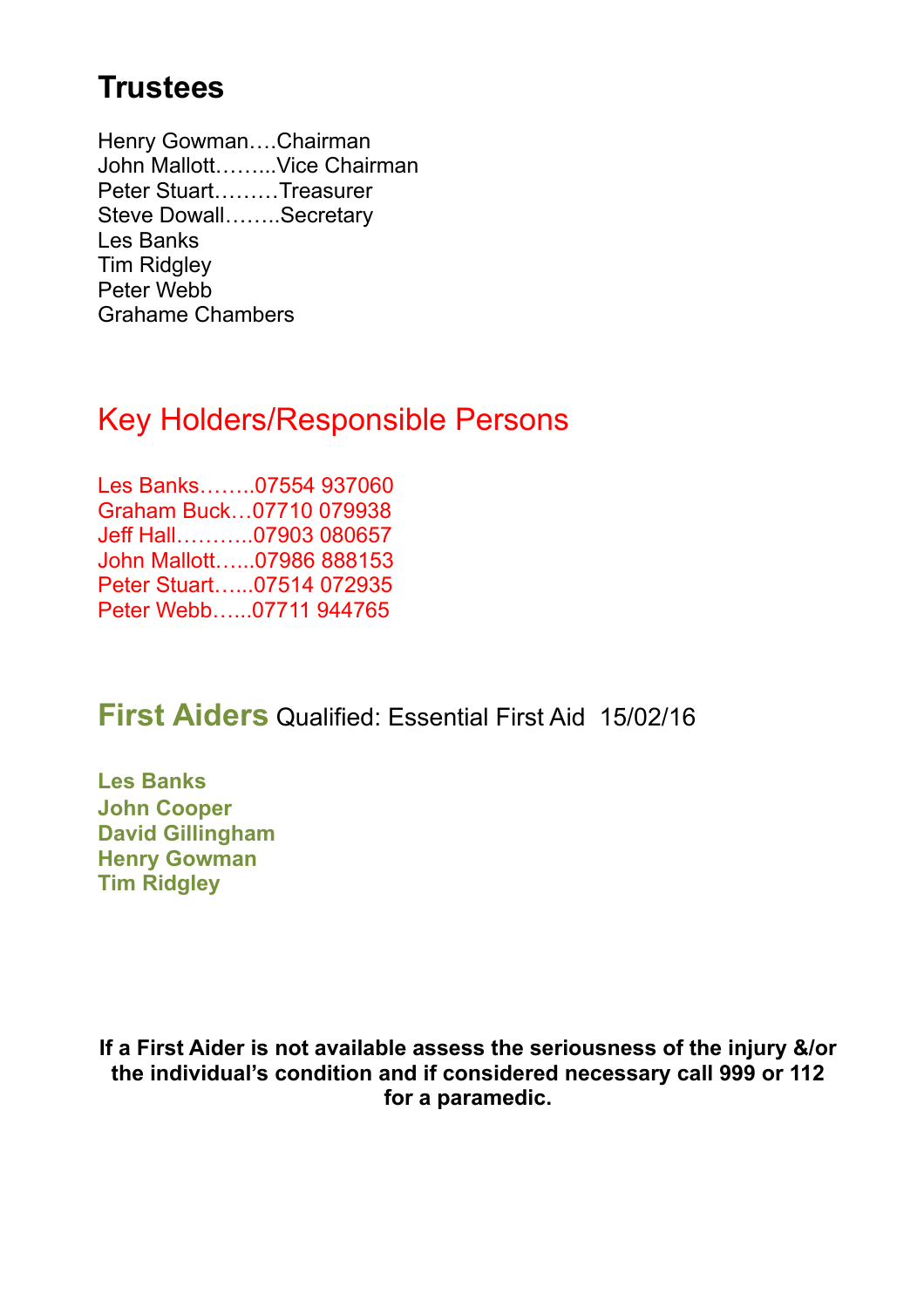## **Trustees**

Henry Gowman….Chairman John Mallott……...Vice Chairman Peter Stuart………Treasurer Steve Dowall……..Secretary Les Banks **Tim Ridgley** Peter Webb Grahame Chambers

### Key Holders/Responsible Persons

Les Banks……..07554 937060 Graham Buck…07710 079938 Jeff Hall………..07903 080657 John Mallott…...07986 888153 Peter Stuart…...07514 072935 Peter Webb…...07711 944765

#### **First Aiders** Qualified: Essential First Aid 15/02/16

**Les Banks John Cooper David Gillingham Henry Gowman Tim Ridgley**

**If a First Aider is not available assess the seriousness of the injury &/or the individual's condition and if considered necessary call 999 or 112 for a paramedic.**